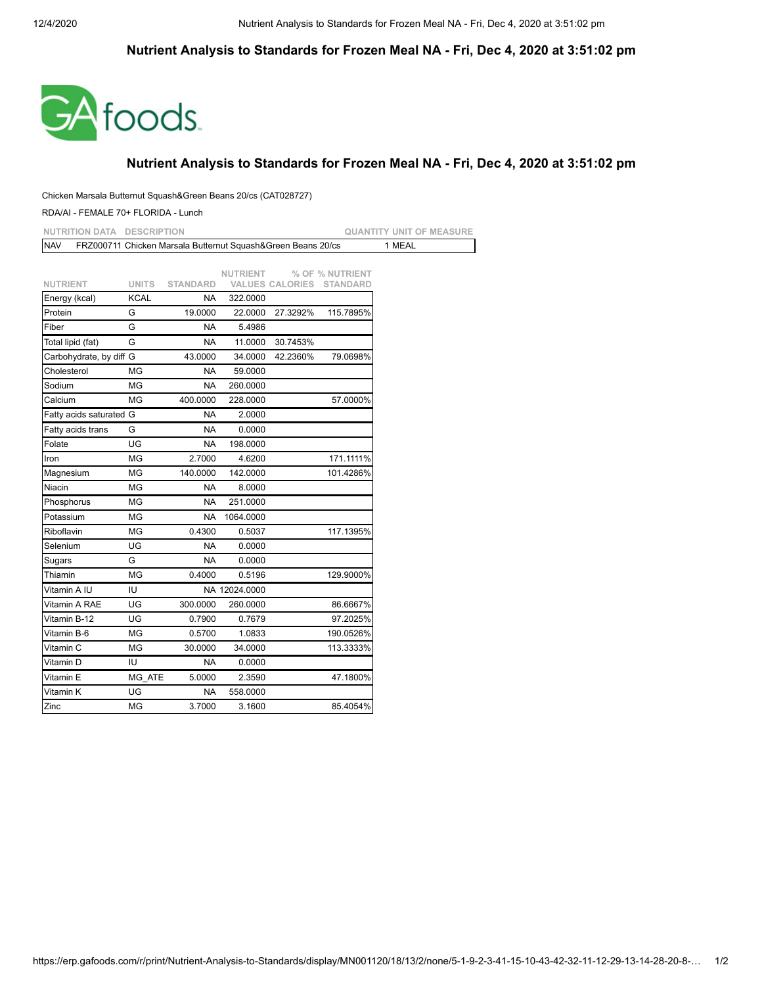## **Nutrient Analysis to Standards for Frozen Meal NA - Fri, Dec 4, 2020 at 3:51:02 pm**



## **Nutrient Analysis to Standards for Frozen Meal NA - Fri, Dec 4, 2020 at 3:51:02 pm**

## Chicken Marsala Butternut Squash&Green Beans 20/cs (CAT028727)

RDA/AI - FEMALE 70+ FLORIDA - Lunch

| <b>NUTRITION DATA</b>   | <b>DESCRIPTION</b> |                                                              |                 |                        |                 | <b>QUANTITY UNIT OF MEASURE</b> |
|-------------------------|--------------------|--------------------------------------------------------------|-----------------|------------------------|-----------------|---------------------------------|
| <b>NAV</b>              |                    | FRZ000711 Chicken Marsala Butternut Squash&Green Beans 20/cs |                 |                        |                 | 1 MEAL                          |
|                         |                    |                                                              |                 |                        |                 |                                 |
|                         |                    |                                                              | <b>NUTRIENT</b> |                        | % OF % NUTRIENT |                                 |
| <b>NUTRIENT</b>         | <b>UNITS</b>       | <b>STANDARD</b>                                              |                 | <b>VALUES CALORIES</b> | STANDARD        |                                 |
| Energy (kcal)           | <b>KCAL</b>        | <b>NA</b>                                                    | 322.0000        |                        |                 |                                 |
| Protein                 | G                  | 19.0000                                                      | 22.0000         | 27.3292%               | 115.7895%       |                                 |
| Fiber                   | G                  | <b>NA</b>                                                    | 5.4986          |                        |                 |                                 |
| Total lipid (fat)       | G                  | <b>NA</b>                                                    | 11.0000         | 30.7453%               |                 |                                 |
| Carbohydrate, by diff G |                    | 43.0000                                                      | 34.0000         | 42.2360%               | 79.0698%        |                                 |
| Cholesterol             | ΜG                 | NA.                                                          | 59.0000         |                        |                 |                                 |
| Sodium                  | ΜG                 | NA                                                           | 260.0000        |                        |                 |                                 |
| Calcium                 | <b>MG</b>          | 400.0000                                                     | 228.0000        |                        | 57.0000%        |                                 |
| Fatty acids saturated G |                    | NA                                                           | 2.0000          |                        |                 |                                 |
| Fatty acids trans       | G                  | <b>NA</b>                                                    | 0.0000          |                        |                 |                                 |
| Folate                  | UG                 | NA                                                           | 198.0000        |                        |                 |                                 |
| Iron                    | ΜG                 | 2.7000                                                       | 4.6200          |                        | 171.1111%       |                                 |
| Magnesium               | <b>MG</b>          | 140.0000                                                     | 142.0000        |                        | 101.4286%       |                                 |
| Niacin                  | MG                 | <b>NA</b>                                                    | 8.0000          |                        |                 |                                 |
| Phosphorus              | МG                 | <b>NA</b>                                                    | 251.0000        |                        |                 |                                 |
| Potassium               | MG                 | <b>NA</b>                                                    | 1064.0000       |                        |                 |                                 |
| Riboflavin              | <b>MG</b>          | 0.4300                                                       | 0.5037          |                        | 117.1395%       |                                 |
| Selenium                | <b>UG</b>          | <b>NA</b>                                                    | 0.0000          |                        |                 |                                 |
| Sugars                  | G                  | <b>NA</b>                                                    | 0.0000          |                        |                 |                                 |
| Thiamin                 | ΜG                 | 0.4000                                                       | 0.5196          |                        | 129.9000%       |                                 |
| Vitamin A IU            | IU                 |                                                              | NA 12024.0000   |                        |                 |                                 |
| Vitamin A RAE           | UG                 | 300.0000                                                     | 260.0000        |                        | 86.6667%        |                                 |
| Vitamin B-12            | UG                 | 0.7900                                                       | 0.7679          |                        | 97.2025%        |                                 |
| Vitamin B-6             | ΜG                 | 0.5700                                                       | 1.0833          |                        | 190.0526%       |                                 |
| Vitamin C               | MG                 | 30.0000                                                      | 34.0000         |                        | 113.3333%       |                                 |
| Vitamin D               | IU                 | <b>NA</b>                                                    | 0.0000          |                        |                 |                                 |
| Vitamin E               | MG ATE             | 5.0000                                                       | 2.3590          |                        | 47.1800%        |                                 |
| Vitamin K               | UG                 | NA                                                           | 558.0000        |                        |                 |                                 |
| Zinc                    | ΜG                 | 3.7000                                                       | 3.1600          |                        | 85.4054%        |                                 |
|                         |                    |                                                              |                 |                        |                 |                                 |